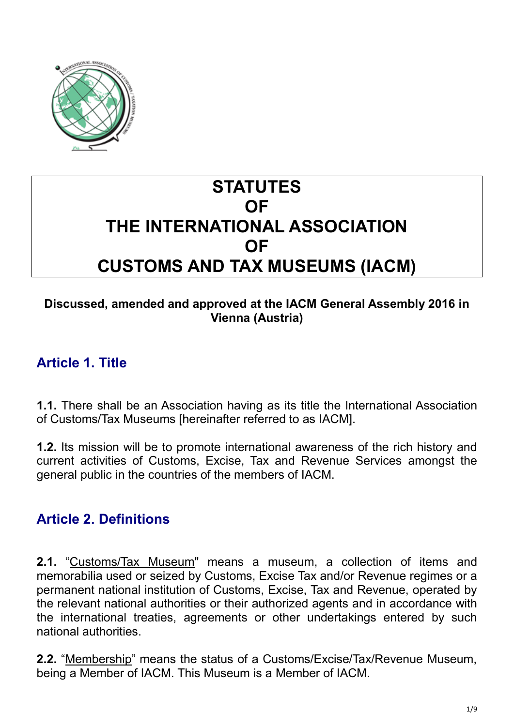

# **STATUTES OF THE INTERNATIONAL ASSOCIATION OF CUSTOMS AND TAX MUSEUMS (IACM)**

#### **Discussed, amended and approved at the IACM General Assembly 2016 in Vienna (Austria)**

### **Article 1. Title**

**1.1.** There shall be an Association having as its title the International Association of Customs/Tax Museums [hereinafter referred to as IACM].

**1.2.** Its mission will be to promote international awareness of the rich history and current activities of Customs, Excise, Tax and Revenue Services amongst the general public in the countries of the members of IACM.

# **Article 2. Definitions**

**2.1.** "Customs/Tax Museum" means a museum, a collection of items and memorabilia used or seized by Customs, Excise Tax and/or Revenue regimes or a permanent national institution of Customs, Excise, Tax and Revenue, operated by the relevant national authorities or their authorized agents and in accordance with the international treaties, agreements or other undertakings entered by such national authorities.

**2.2.** "Membership" means the status of a Customs/Excise/Tax/Revenue Museum, being a Member of IACM. This Museum is a Member of IACM.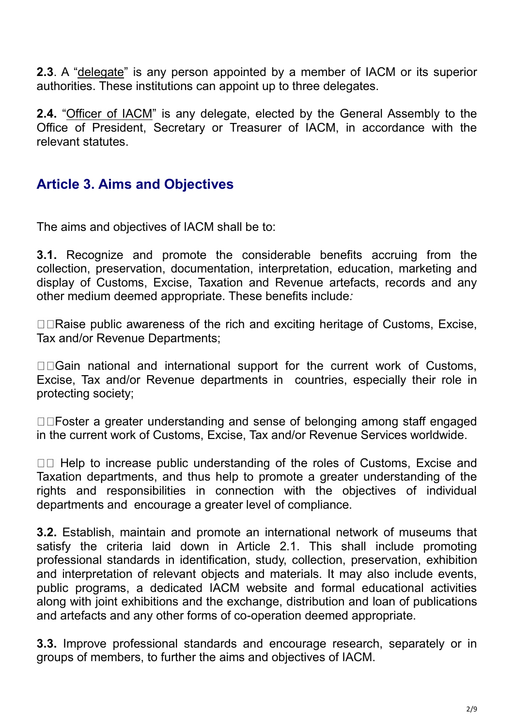**2.3**. A "delegate" is any person appointed by a member of IACM or its superior authorities. These institutions can appoint up to three delegates.

**2.4.** "Officer of IACM" is any delegate, elected by the General Assembly to the Office of President, Secretary or Treasurer of IACM, in accordance with the relevant statutes.

# **Article 3. Aims and Objectives**

The aims and objectives of IACM shall be to:

**3.1.** Recognize and promote the considerable benefits accruing from the collection, preservation, documentation, interpretation, education, marketing and display of Customs, Excise, Taxation and Revenue artefacts, records and any other medium deemed appropriate. These benefits include*:*

 $\Box$  Raise public awareness of the rich and exciting heritage of Customs, Excise, Tax and/or Revenue Departments;

□□Gain national and international support for the current work of Customs, Excise, Tax and/or Revenue departments in countries, especially their role in protecting society;

□□Foster a greater understanding and sense of belonging among staff engaged in the current work of Customs, Excise, Tax and/or Revenue Services worldwide.

□□ Help to increase public understanding of the roles of Customs, Excise and Taxation departments, and thus help to promote a greater understanding of the rights and responsibilities in connection with the objectives of individual departments and encourage a greater level of compliance.

**3.2.** Establish, maintain and promote an international network of museums that satisfy the criteria laid down in Article 2.1. This shall include promoting professional standards in identification, study, collection, preservation, exhibition and interpretation of relevant objects and materials. It may also include events, public programs, a dedicated IACM website and formal educational activities along with joint exhibitions and the exchange, distribution and loan of publications and artefacts and any other forms of co-operation deemed appropriate.

**3.3.** Improve professional standards and encourage research, separately or in groups of members, to further the aims and objectives of IACM.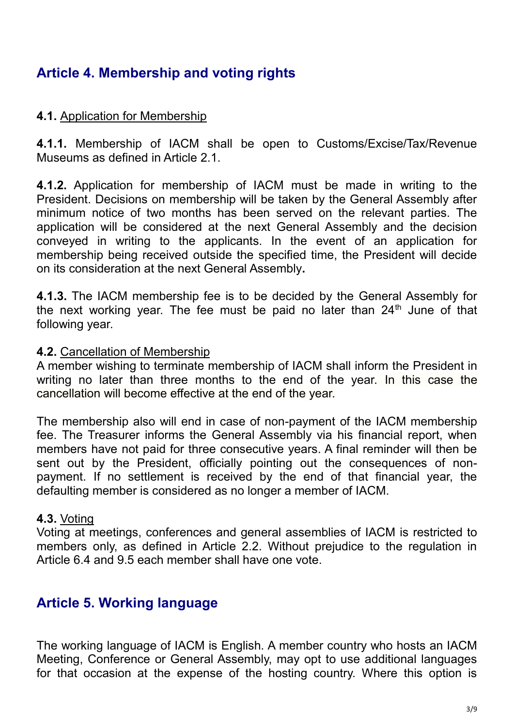# **Article 4. Membership and voting rights**

#### **4.1.** Application for Membership

**4.1.1.** Membership of IACM shall be open to Customs/Excise/Tax/Revenue Museums as defined in Article 2.1.

**4.1.2.** Application for membership of IACM must be made in writing to the President. Decisions on membership will be taken by the General Assembly after minimum notice of two months has been served on the relevant parties. The application will be considered at the next General Assembly and the decision conveyed in writing to the applicants. In the event of an application for membership being received outside the specified time, the President will decide on its consideration at the next General Assembly**.**

**4.1.3.** The IACM membership fee is to be decided by the General Assembly for the next working year. The fee must be paid no later than  $24<sup>th</sup>$  June of that following year.

#### **4.2.** Cancellation of Membership

A member wishing to terminate membership of IACM shall inform the President in writing no later than three months to the end of the year. In this case the cancellation will become effective at the end of the year.

The membership also will end in case of non-payment of the IACM membership fee. The Treasurer informs the General Assembly via his financial report, when members have not paid for three consecutive years. A final reminder will then be sent out by the President, officially pointing out the consequences of nonpayment. If no settlement is received by the end of that financial year, the defaulting member is considered as no longer a member of IACM.

#### **4.3.** Voting

Voting at meetings, conferences and general assemblies of IACM is restricted to members only, as defined in Article 2.2. Without prejudice to the regulation in Article 6.4 and 9.5 each member shall have one vote.

### **Article 5. Working language**

The working language of IACM is English. A member country who hosts an IACM Meeting, Conference or General Assembly, may opt to use additional languages for that occasion at the expense of the hosting country. Where this option is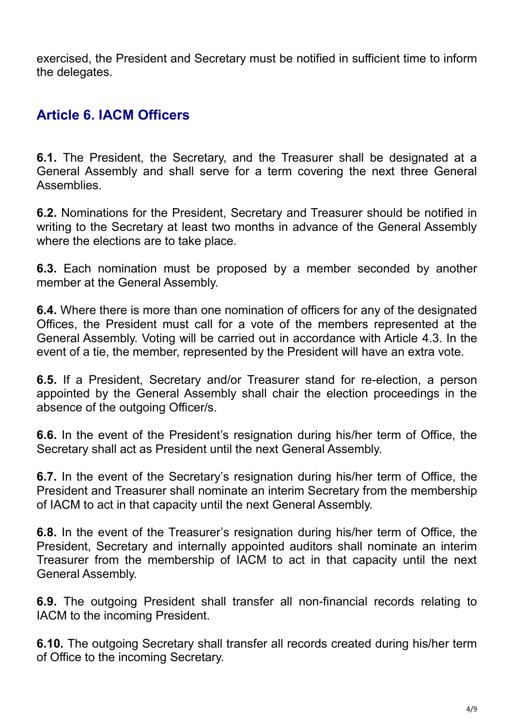exercised, the President and Secretary must be notified in sufficient time to inform the delegates.

# **Article 6. IACM Officers**

**6.1.** The President, the Secretary, and the Treasurer shall be designated at a General Assembly and shall serve for a term covering the next three General **Assemblies** 

**6.2.** Nominations for the President, Secretary and Treasurer should be notified in writing to the Secretary at least two months in advance of the General Assembly where the elections are to take place.

**6.3.** Each nomination must be proposed by a member seconded by another member at the General Assembly.

**6.4.** Where there is more than one nomination of officers for any of the designated Offices, the President must call for a vote of the members represented at the General Assembly. Voting will be carried out in accordance with Article 4.3. In the event of a tie, the member, represented by the President will have an extra vote.

**6.5.** If a President, Secretary and/or Treasurer stand for re-election, a person appointed by the General Assembly shall chair the election proceedings in the absence of the outgoing Officer/s.

**6.6.** In the event of the President's resignation during his/her term of Office, the Secretary shall act as President until the next General Assembly.

**6.7.** In the event of the Secretary's resignation during his/her term of Office, the President and Treasurer shall nominate an interim Secretary from the membership of IACM to act in that capacity until the next General Assembly.

**6.8.** In the event of the Treasurer's resignation during his/her term of Office, the President, Secretary and internally appointed auditors shall nominate an interim Treasurer from the membership of IACM to act in that capacity until the next General Assembly.

**6.9.** The outgoing President shall transfer all non-financial records relating to IACM to the incoming President.

**6.10.** The outgoing Secretary shall transfer all records created during his/her term of Office to the incoming Secretary.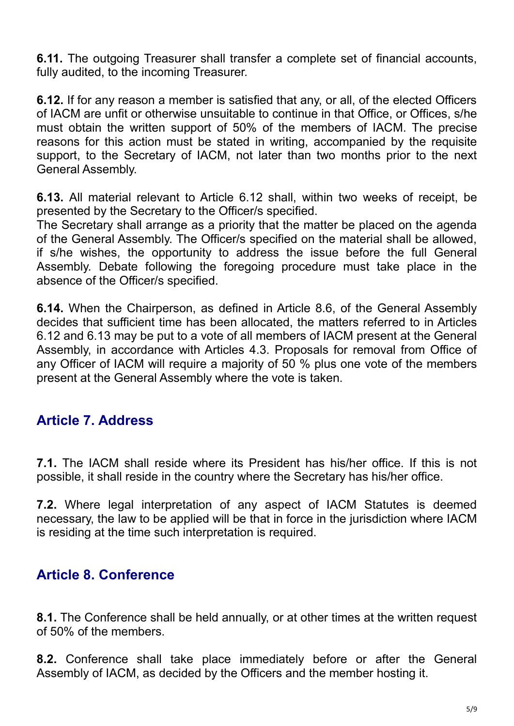**6.11.** The outgoing Treasurer shall transfer a complete set of financial accounts, fully audited, to the incoming Treasurer.

**6.12.** If for any reason a member is satisfied that any, or all, of the elected Officers of IACM are unfit or otherwise unsuitable to continue in that Office, or Offices, s/he must obtain the written support of 50% of the members of IACM. The precise reasons for this action must be stated in writing, accompanied by the requisite support, to the Secretary of IACM, not later than two months prior to the next General Assembly.

**6.13.** All material relevant to Article 6.12 shall, within two weeks of receipt, be presented by the Secretary to the Officer/s specified.

The Secretary shall arrange as a priority that the matter be placed on the agenda of the General Assembly. The Officer/s specified on the material shall be allowed, if s/he wishes, the opportunity to address the issue before the full General Assembly. Debate following the foregoing procedure must take place in the absence of the Officer/s specified.

**6.14.** When the Chairperson, as defined in Article 8.6, of the General Assembly decides that sufficient time has been allocated, the matters referred to in Articles 6.12 and 6.13 may be put to a vote of all members of IACM present at the General Assembly, in accordance with Articles 4.3. Proposals for removal from Office of any Officer of IACM will require a majority of 50 % plus one vote of the members present at the General Assembly where the vote is taken.

### **Article 7. Address**

**7.1.** The IACM shall reside where its President has his/her office. If this is not possible, it shall reside in the country where the Secretary has his/her office.

**7.2.** Where legal interpretation of any aspect of IACM Statutes is deemed necessary, the law to be applied will be that in force in the jurisdiction where IACM is residing at the time such interpretation is required.

### **Article 8. Conference**

**8.1.** The Conference shall be held annually, or at other times at the written request of 50% of the members.

**8.2.** Conference shall take place immediately before or after the General Assembly of IACM, as decided by the Officers and the member hosting it.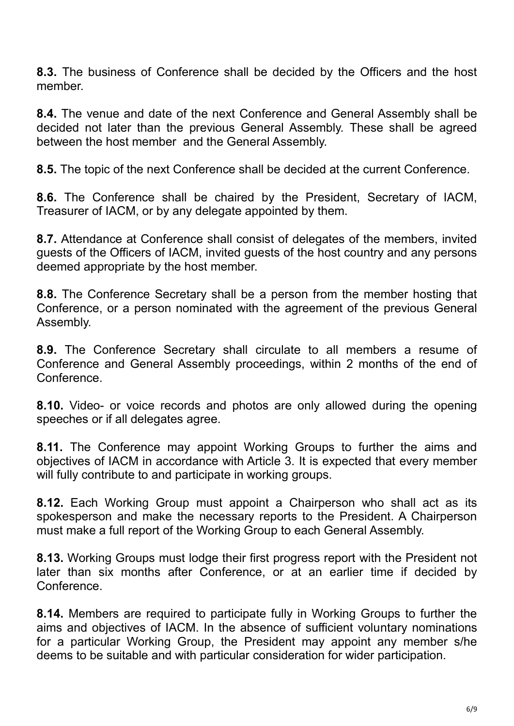**8.3.** The business of Conference shall be decided by the Officers and the host member.

**8.4.** The venue and date of the next Conference and General Assembly shall be decided not later than the previous General Assembly. These shall be agreed between the host member and the General Assembly.

**8.5.** The topic of the next Conference shall be decided at the current Conference.

**8.6.** The Conference shall be chaired by the President, Secretary of IACM, Treasurer of IACM, or by any delegate appointed by them.

**8.7.** Attendance at Conference shall consist of delegates of the members, invited guests of the Officers of IACM, invited guests of the host country and any persons deemed appropriate by the host member.

**8.8.** The Conference Secretary shall be a person from the member hosting that Conference, or a person nominated with the agreement of the previous General Assembly.

**8.9.** The Conference Secretary shall circulate to all members a resume of Conference and General Assembly proceedings, within 2 months of the end of **Conference** 

**8.10.** Video- or voice records and photos are only allowed during the opening speeches or if all delegates agree.

**8.11.** The Conference may appoint Working Groups to further the aims and objectives of IACM in accordance with Article 3. It is expected that every member will fully contribute to and participate in working groups.

**8.12.** Each Working Group must appoint a Chairperson who shall act as its spokesperson and make the necessary reports to the President. A Chairperson must make a full report of the Working Group to each General Assembly.

**8.13.** Working Groups must lodge their first progress report with the President not later than six months after Conference, or at an earlier time if decided by Conference.

**8.14.** Members are required to participate fully in Working Groups to further the aims and objectives of IACM. In the absence of sufficient voluntary nominations for a particular Working Group, the President may appoint any member s/he deems to be suitable and with particular consideration for wider participation.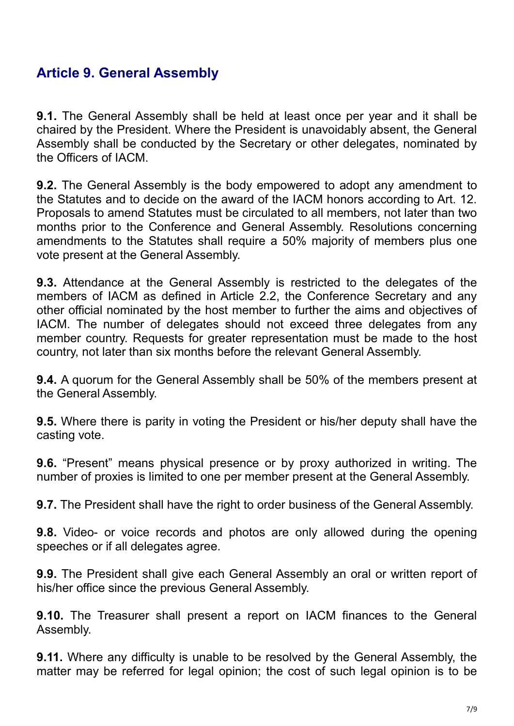# **Article 9. General Assembly**

**9.1.** The General Assembly shall be held at least once per year and it shall be chaired by the President. Where the President is unavoidably absent, the General Assembly shall be conducted by the Secretary or other delegates, nominated by the Officers of IACM.

**9.2.** The General Assembly is the body empowered to adopt any amendment to the Statutes and to decide on the award of the IACM honors according to Art. 12. Proposals to amend Statutes must be circulated to all members, not later than two months prior to the Conference and General Assembly. Resolutions concerning amendments to the Statutes shall require a 50% majority of members plus one vote present at the General Assembly.

**9.3.** Attendance at the General Assembly is restricted to the delegates of the members of IACM as defined in Article 2.2, the Conference Secretary and any other official nominated by the host member to further the aims and objectives of IACM. The number of delegates should not exceed three delegates from any member country. Requests for greater representation must be made to the host country, not later than six months before the relevant General Assembly.

**9.4.** A quorum for the General Assembly shall be 50% of the members present at the General Assembly.

**9.5.** Where there is parity in voting the President or his/her deputy shall have the casting vote.

**9.6.** "Present" means physical presence or by proxy authorized in writing. The number of proxies is limited to one per member present at the General Assembly.

**9.7.** The President shall have the right to order business of the General Assembly.

**9.8.** Video- or voice records and photos are only allowed during the opening speeches or if all delegates agree.

**9.9.** The President shall give each General Assembly an oral or written report of his/her office since the previous General Assembly.

**9.10.** The Treasurer shall present a report on IACM finances to the General Assembly.

**9.11.** Where any difficulty is unable to be resolved by the General Assembly, the matter may be referred for legal opinion; the cost of such legal opinion is to be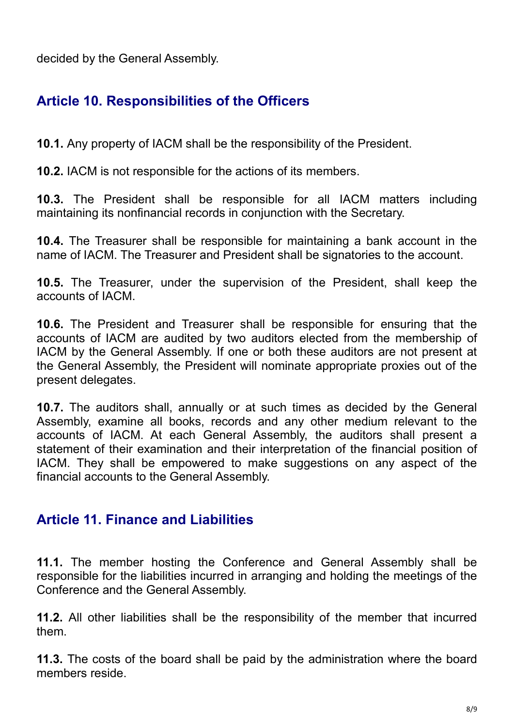decided by the General Assembly.

# **Article 10. Responsibilities of the Officers**

**10.1.** Any property of IACM shall be the responsibility of the President.

**10.2.** IACM is not responsible for the actions of its members.

**10.3.** The President shall be responsible for all IACM matters including maintaining its nonfinancial records in conjunction with the Secretary.

**10.4.** The Treasurer shall be responsible for maintaining a bank account in the name of IACM. The Treasurer and President shall be signatories to the account.

**10.5.** The Treasurer, under the supervision of the President, shall keep the accounts of IACM.

**10.6.** The President and Treasurer shall be responsible for ensuring that the accounts of IACM are audited by two auditors elected from the membership of IACM by the General Assembly. If one or both these auditors are not present at the General Assembly, the President will nominate appropriate proxies out of the present delegates.

**10.7.** The auditors shall, annually or at such times as decided by the General Assembly, examine all books, records and any other medium relevant to the accounts of IACM. At each General Assembly, the auditors shall present a statement of their examination and their interpretation of the financial position of IACM. They shall be empowered to make suggestions on any aspect of the financial accounts to the General Assembly.

### **Article 11. Finance and Liabilities**

**11.1.** The member hosting the Conference and General Assembly shall be responsible for the liabilities incurred in arranging and holding the meetings of the Conference and the General Assembly.

**11.2.** All other liabilities shall be the responsibility of the member that incurred them.

**11.3.** The costs of the board shall be paid by the administration where the board members reside.